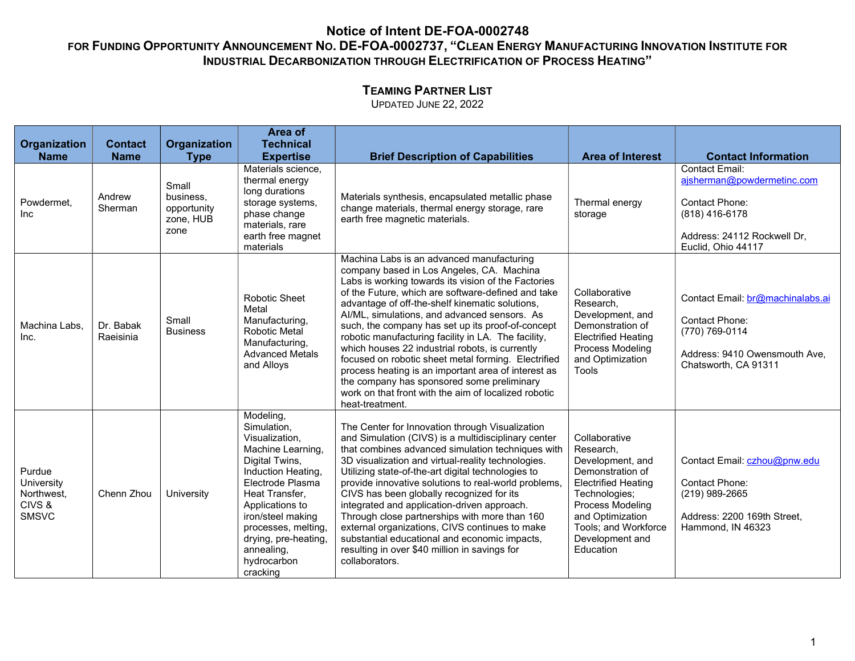# TEAMING PARTNER LIST

|                                                              | <b>Contact</b>         |                                                        | Area of<br><b>Technical</b>                                                                                                                                                                                                                                                   |                                                                                                                                                                                                                                                                                                                                                                                                                                                                                                                                                                                                                                                                                                              |                                                                                                                                                                                                                   |                                                                                                                                                |
|--------------------------------------------------------------|------------------------|--------------------------------------------------------|-------------------------------------------------------------------------------------------------------------------------------------------------------------------------------------------------------------------------------------------------------------------------------|--------------------------------------------------------------------------------------------------------------------------------------------------------------------------------------------------------------------------------------------------------------------------------------------------------------------------------------------------------------------------------------------------------------------------------------------------------------------------------------------------------------------------------------------------------------------------------------------------------------------------------------------------------------------------------------------------------------|-------------------------------------------------------------------------------------------------------------------------------------------------------------------------------------------------------------------|------------------------------------------------------------------------------------------------------------------------------------------------|
| Organization<br><b>Name</b>                                  | <b>Name</b>            | Organization<br><b>Type</b>                            | <b>Expertise</b>                                                                                                                                                                                                                                                              | <b>Brief Description of Capabilities</b>                                                                                                                                                                                                                                                                                                                                                                                                                                                                                                                                                                                                                                                                     | <b>Area of Interest</b>                                                                                                                                                                                           | <b>Contact Information</b>                                                                                                                     |
| Powdermet,<br><b>Inc</b>                                     | Andrew<br>Sherman      | Small<br>business.<br>opportunity<br>zone, HUB<br>zone | Materials science,<br>thermal energy<br>long durations<br>storage systems,<br>phase change<br>materials, rare<br>earth free magnet<br>materials                                                                                                                               | Materials synthesis, encapsulated metallic phase<br>change materials, thermal energy storage, rare<br>earth free magnetic materials.                                                                                                                                                                                                                                                                                                                                                                                                                                                                                                                                                                         | Thermal energy<br>storage                                                                                                                                                                                         | <b>Contact Email:</b><br>ajsherman@powdermetinc.com<br>Contact Phone:<br>$(818)$ 416-6178<br>Address: 24112 Rockwell Dr,<br>Euclid, Ohio 44117 |
| Machina Labs,<br>Inc.                                        | Dr. Babak<br>Raeisinia | Small<br><b>Business</b>                               | Robotic Sheet<br>Metal<br>Manufacturing,<br><b>Robotic Metal</b><br>Manufacturing,<br><b>Advanced Metals</b><br>and Alloys                                                                                                                                                    | Machina Labs is an advanced manufacturing<br>company based in Los Angeles, CA. Machina<br>Labs is working towards its vision of the Factories<br>of the Future, which are software-defined and take<br>advantage of off-the-shelf kinematic solutions,<br>Al/ML, simulations, and advanced sensors. As<br>such, the company has set up its proof-of-concept<br>robotic manufacturing facility in LA. The facility,<br>which houses 22 industrial robots, is currently<br>focused on robotic sheet metal forming. Electrified<br>process heating is an important area of interest as<br>the company has sponsored some preliminary<br>work on that front with the aim of localized robotic<br>heat-treatment. | Collaborative<br>Research,<br>Development, and<br>Demonstration of<br><b>Electrified Heating</b><br><b>Process Modeling</b><br>and Optimization<br>Tools                                                          | Contact Email: br@machinalabs.ai<br><b>Contact Phone:</b><br>(770) 769-0114<br>Address: 9410 Owensmouth Ave.<br>Chatsworth, CA 91311           |
| Purdue<br>University<br>Northwest,<br>CIVS &<br><b>SMSVC</b> | Chenn Zhou             | University                                             | Modeling,<br>Simulation,<br>Visualization.<br>Machine Learning,<br>Digital Twins,<br>Induction Heating,<br>Electrode Plasma<br>Heat Transfer,<br>Applications to<br>iron/steel making<br>processes, melting,<br>drying, pre-heating,<br>annealing,<br>hydrocarbon<br>cracking | The Center for Innovation through Visualization<br>and Simulation (CIVS) is a multidisciplinary center<br>that combines advanced simulation techniques with<br>3D visualization and virtual-reality technologies.<br>Utilizing state-of-the-art digital technologies to<br>provide innovative solutions to real-world problems,<br>CIVS has been globally recognized for its<br>integrated and application-driven approach.<br>Through close partnerships with more than 160<br>external organizations, CIVS continues to make<br>substantial educational and economic impacts,<br>resulting in over \$40 million in savings for<br>collaborators.                                                           | Collaborative<br>Research,<br>Development, and<br>Demonstration of<br><b>Electrified Heating</b><br>Technologies;<br>Process Modeling<br>and Optimization<br>Tools; and Workforce<br>Development and<br>Education | Contact Email: czhou@pnw.edu<br><b>Contact Phone:</b><br>(219) 989-2665<br>Address: 2200 169th Street,<br>Hammond, IN 46323                    |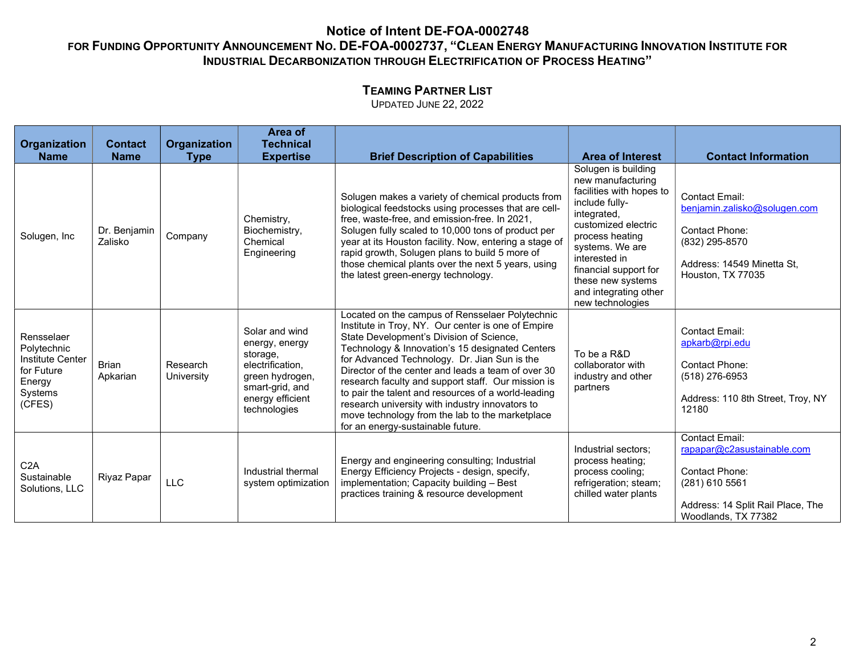# TEAMING PARTNER LIST

| Organization<br><b>Name</b>                                                                | <b>Contact</b><br><b>Name</b> | Organization<br><b>Type</b> | Area of<br><b>Technical</b><br><b>Expertise</b>                                                                                            | <b>Brief Description of Capabilities</b>                                                                                                                                                                                                                                                                                                                                                                                                                                                                                                                           | <b>Area of Interest</b>                                                                                                                                                                                                                                                        | <b>Contact Information</b>                                                                                                                          |
|--------------------------------------------------------------------------------------------|-------------------------------|-----------------------------|--------------------------------------------------------------------------------------------------------------------------------------------|--------------------------------------------------------------------------------------------------------------------------------------------------------------------------------------------------------------------------------------------------------------------------------------------------------------------------------------------------------------------------------------------------------------------------------------------------------------------------------------------------------------------------------------------------------------------|--------------------------------------------------------------------------------------------------------------------------------------------------------------------------------------------------------------------------------------------------------------------------------|-----------------------------------------------------------------------------------------------------------------------------------------------------|
| Solugen, Inc                                                                               | Dr. Benjamin<br>Zalisko       | Company                     | Chemistry,<br>Biochemistry,<br>Chemical<br>Engineering                                                                                     | Solugen makes a variety of chemical products from<br>biological feedstocks using processes that are cell-<br>free, waste-free, and emission-free. In 2021,<br>Solugen fully scaled to 10,000 tons of product per<br>year at its Houston facility. Now, entering a stage of<br>rapid growth, Solugen plans to build 5 more of<br>those chemical plants over the next 5 years, using<br>the latest green-energy technology.                                                                                                                                          | Solugen is building<br>new manufacturing<br>facilities with hopes to<br>include fully-<br>integrated,<br>customized electric<br>process heating<br>systems. We are<br>interested in<br>financial support for<br>these new systems<br>and integrating other<br>new technologies | <b>Contact Email:</b><br>benjamin.zalisko@solugen.com<br><b>Contact Phone:</b><br>(832) 295-8570<br>Address: 14549 Minetta St,<br>Houston, TX 77035 |
| Rensselaer<br>Polytechnic<br>Institute Center<br>for Future<br>Energy<br>Systems<br>(CFES) | <b>Brian</b><br>Apkarian      | Research<br>University      | Solar and wind<br>energy, energy<br>storage,<br>electrification,<br>green hydrogen,<br>smart-grid, and<br>energy efficient<br>technologies | Located on the campus of Rensselaer Polytechnic<br>Institute in Troy, NY. Our center is one of Empire<br>State Development's Division of Science,<br>Technology & Innovation's 15 designated Centers<br>for Advanced Technology. Dr. Jian Sun is the<br>Director of the center and leads a team of over 30<br>research faculty and support staff. Our mission is<br>to pair the talent and resources of a world-leading<br>research university with industry innovators to<br>move technology from the lab to the marketplace<br>for an energy-sustainable future. | To be a R&D<br>collaborator with<br>industry and other<br>partners                                                                                                                                                                                                             | <b>Contact Email:</b><br>apkarb@rpi.edu<br><b>Contact Phone:</b><br>(518) 276-6953<br>Address: 110 8th Street, Troy, NY<br>12180                    |
| C2A<br>Sustainable<br>Solutions, LLC                                                       | Riyaz Papar                   | LLC                         | Industrial thermal<br>system optimization                                                                                                  | Energy and engineering consulting; Industrial<br>Energy Efficiency Projects - design, specify,<br>implementation; Capacity building - Best<br>practices training & resource development                                                                                                                                                                                                                                                                                                                                                                            | Industrial sectors;<br>process heating;<br>process cooling;<br>refrigeration; steam;<br>chilled water plants                                                                                                                                                                   | <b>Contact Email:</b><br>rapapar@c2asustainable.com<br>Contact Phone:<br>(281) 610 5561<br>Address: 14 Split Rail Place, The<br>Woodlands, TX 77382 |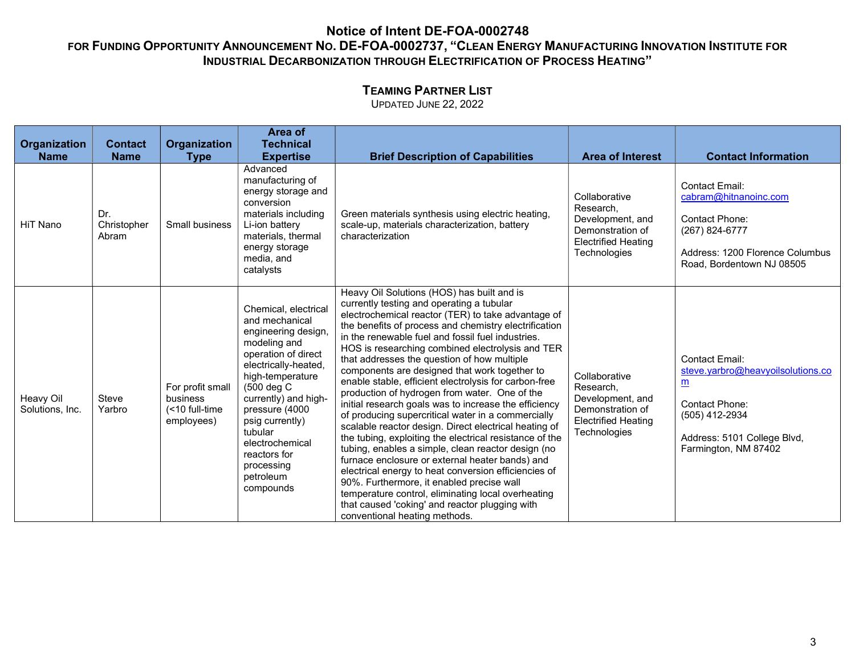# TEAMING PARTNER LIST

| Organization<br><b>Name</b>  | <b>Contact</b><br><b>Name</b> | <b>Organization</b><br><b>Type</b>                           | Area of<br><b>Technical</b><br><b>Expertise</b>                                                                                                                                                                                                                                                                   | <b>Brief Description of Capabilities</b>                                                                                                                                                                                                                                                                                                                                                                                                                                                                                                                                                                                                                                                                                                                                                                                                                                                                                                                                                                                                                                                                            | <b>Area of Interest</b>                                                                                          | <b>Contact Information</b>                                                                                                                                               |
|------------------------------|-------------------------------|--------------------------------------------------------------|-------------------------------------------------------------------------------------------------------------------------------------------------------------------------------------------------------------------------------------------------------------------------------------------------------------------|---------------------------------------------------------------------------------------------------------------------------------------------------------------------------------------------------------------------------------------------------------------------------------------------------------------------------------------------------------------------------------------------------------------------------------------------------------------------------------------------------------------------------------------------------------------------------------------------------------------------------------------------------------------------------------------------------------------------------------------------------------------------------------------------------------------------------------------------------------------------------------------------------------------------------------------------------------------------------------------------------------------------------------------------------------------------------------------------------------------------|------------------------------------------------------------------------------------------------------------------|--------------------------------------------------------------------------------------------------------------------------------------------------------------------------|
| HiT Nano                     | Dr.<br>Christopher<br>Abram   | Small business                                               | Advanced<br>manufacturing of<br>energy storage and<br>conversion<br>materials including<br>Li-ion battery<br>materials, thermal<br>energy storage<br>media, and<br>catalysts                                                                                                                                      | Green materials synthesis using electric heating,<br>scale-up, materials characterization, battery<br>characterization                                                                                                                                                                                                                                                                                                                                                                                                                                                                                                                                                                                                                                                                                                                                                                                                                                                                                                                                                                                              | Collaborative<br>Research,<br>Development, and<br>Demonstration of<br><b>Electrified Heating</b><br>Technologies | <b>Contact Email:</b><br>cabram@hitnanoinc.com<br>Contact Phone:<br>(267) 824-6777<br>Address: 1200 Florence Columbus<br>Road, Bordentown NJ 08505                       |
| Heavy Oil<br>Solutions, Inc. | Steve<br>Yarbro               | For profit small<br>business<br>(<10 full-time<br>employees) | Chemical, electrical<br>and mechanical<br>engineering design,<br>modeling and<br>operation of direct<br>electrically-heated,<br>high-temperature<br>(500 deg C<br>currently) and high-<br>pressure (4000<br>psig currently)<br>tubular<br>electrochemical<br>reactors for<br>processing<br>petroleum<br>compounds | Heavy Oil Solutions (HOS) has built and is<br>currently testing and operating a tubular<br>electrochemical reactor (TER) to take advantage of<br>the benefits of process and chemistry electrification<br>in the renewable fuel and fossil fuel industries.<br>HOS is researching combined electrolysis and TER<br>that addresses the question of how multiple<br>components are designed that work together to<br>enable stable, efficient electrolysis for carbon-free<br>production of hydrogen from water. One of the<br>initial research goals was to increase the efficiency<br>of producing supercritical water in a commercially<br>scalable reactor design. Direct electrical heating of<br>the tubing, exploiting the electrical resistance of the<br>tubing, enables a simple, clean reactor design (no<br>furnace enclosure or external heater bands) and<br>electrical energy to heat conversion efficiencies of<br>90%. Furthermore, it enabled precise wall<br>temperature control, eliminating local overheating<br>that caused 'coking' and reactor plugging with<br>conventional heating methods. | Collaborative<br>Research,<br>Development, and<br>Demonstration of<br><b>Electrified Heating</b><br>Technologies | <b>Contact Email:</b><br>steve.yarbro@heavyoilsolutions.co<br>$\underline{m}$<br>Contact Phone:<br>(505) 412-2934<br>Address: 5101 College Blvd,<br>Farmington, NM 87402 |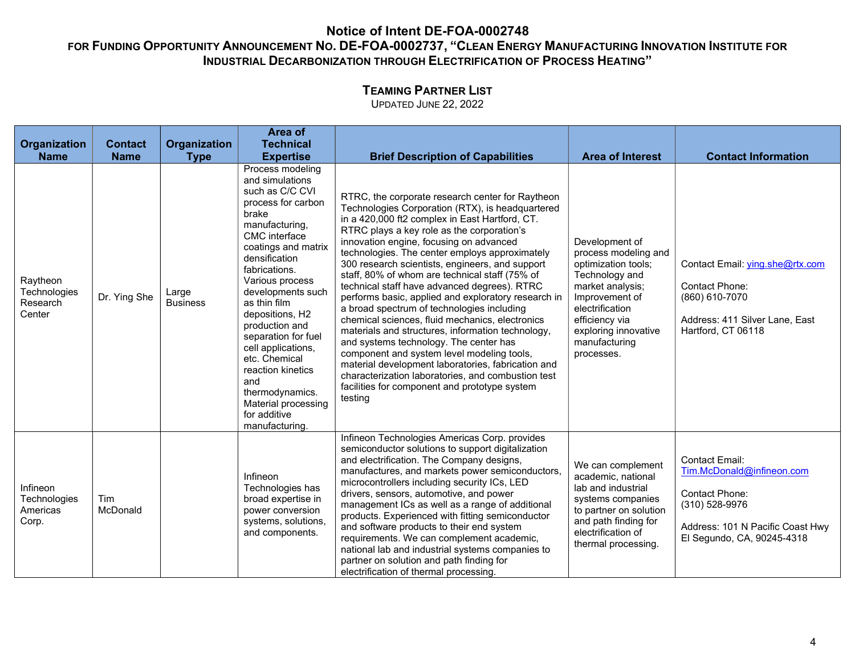# TEAMING PARTNER LIST

| Organization                                   | <b>Contact</b>  | Organization             | Area of<br><b>Technical</b>                                                                                                                                                                                                                                                                                                                                                                                                                          |                                                                                                                                                                                                                                                                                                                                                                                                                                                                                                                                                                                                                                                                                                                                                                                                                                                                                                                                     |                                                                                                                                                                                                                   |                                                                                                                                                                 |
|------------------------------------------------|-----------------|--------------------------|------------------------------------------------------------------------------------------------------------------------------------------------------------------------------------------------------------------------------------------------------------------------------------------------------------------------------------------------------------------------------------------------------------------------------------------------------|-------------------------------------------------------------------------------------------------------------------------------------------------------------------------------------------------------------------------------------------------------------------------------------------------------------------------------------------------------------------------------------------------------------------------------------------------------------------------------------------------------------------------------------------------------------------------------------------------------------------------------------------------------------------------------------------------------------------------------------------------------------------------------------------------------------------------------------------------------------------------------------------------------------------------------------|-------------------------------------------------------------------------------------------------------------------------------------------------------------------------------------------------------------------|-----------------------------------------------------------------------------------------------------------------------------------------------------------------|
| <b>Name</b>                                    | <b>Name</b>     | <b>Type</b>              | <b>Expertise</b>                                                                                                                                                                                                                                                                                                                                                                                                                                     | <b>Brief Description of Capabilities</b>                                                                                                                                                                                                                                                                                                                                                                                                                                                                                                                                                                                                                                                                                                                                                                                                                                                                                            | <b>Area of Interest</b>                                                                                                                                                                                           | <b>Contact Information</b>                                                                                                                                      |
| Raytheon<br>Technologies<br>Research<br>Center | Dr. Ying She    | Large<br><b>Business</b> | Process modeling<br>and simulations<br>such as C/C CVI<br>process for carbon<br>brake<br>manufacturing,<br>CMC interface<br>coatings and matrix<br>densification<br>fabrications.<br>Various process<br>developments such<br>as thin film<br>depositions, H2<br>production and<br>separation for fuel<br>cell applications,<br>etc. Chemical<br>reaction kinetics<br>and<br>thermodynamics.<br>Material processing<br>for additive<br>manufacturing. | RTRC, the corporate research center for Raytheon<br>Technologies Corporation (RTX), is headquartered<br>in a 420,000 ft2 complex in East Hartford, CT.<br>RTRC plays a key role as the corporation's<br>innovation engine, focusing on advanced<br>technologies. The center employs approximately<br>300 research scientists, engineers, and support<br>staff, 80% of whom are technical staff (75% of<br>technical staff have advanced degrees). RTRC<br>performs basic, applied and exploratory research in<br>a broad spectrum of technologies including<br>chemical sciences, fluid mechanics, electronics<br>materials and structures, information technology,<br>and systems technology. The center has<br>component and system level modeling tools,<br>material development laboratories, fabrication and<br>characterization laboratories, and combustion test<br>facilities for component and prototype system<br>testing | Development of<br>process modeling and<br>optimization tools;<br>Technology and<br>market analysis;<br>Improvement of<br>electrification<br>efficiency via<br>exploring innovative<br>manufacturing<br>processes. | Contact Email: ving.she@rtx.com<br>Contact Phone:<br>(860) 610-7070<br>Address: 411 Silver Lane, East<br>Hartford, CT 06118                                     |
| Infineon<br>Technologies<br>Americas<br>Corp.  | Tim<br>McDonald |                          | Infineon<br>Technologies has<br>broad expertise in<br>power conversion<br>systems, solutions,<br>and components.                                                                                                                                                                                                                                                                                                                                     | Infineon Technologies Americas Corp. provides<br>semiconductor solutions to support digitalization<br>and electrification. The Company designs,<br>manufactures, and markets power semiconductors,<br>microcontrollers including security ICs, LED<br>drivers, sensors, automotive, and power<br>management ICs as well as a range of additional<br>products. Experienced with fitting semiconductor<br>and software products to their end system<br>requirements. We can complement academic,<br>national lab and industrial systems companies to<br>partner on solution and path finding for<br>electrification of thermal processing.                                                                                                                                                                                                                                                                                            | We can complement<br>academic, national<br>lab and industrial<br>systems companies<br>to partner on solution<br>and path finding for<br>electrification of<br>thermal processing.                                 | <b>Contact Email:</b><br>Tim.McDonald@infineon.com<br><b>Contact Phone:</b><br>(310) 528-9976<br>Address: 101 N Pacific Coast Hwy<br>El Segundo, CA, 90245-4318 |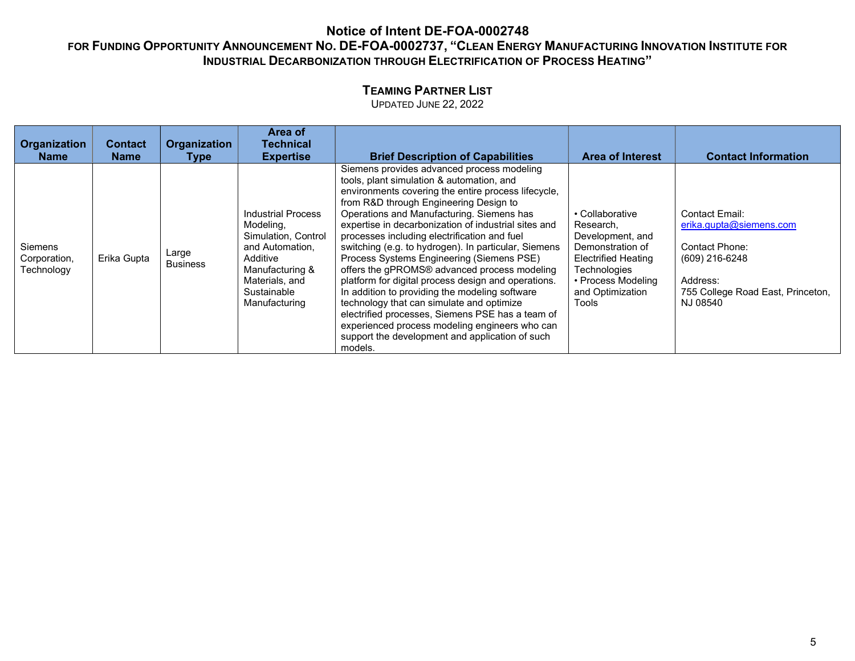# TEAMING PARTNER LIST

| Organization<br><b>Name</b>           | Contact<br><b>Name</b> | Organization<br>Type     | Area of<br><b>Technical</b><br><b>Expertise</b>                                                                                                                   | <b>Brief Description of Capabilities</b>                                                                                                                                                                                                                                                                                                                                                                                                                                                                                                                                                                                                                                                                                                                                                                                     | <b>Area of Interest</b>                                                                                                                                               | <b>Contact Information</b>                                                                                                                 |
|---------------------------------------|------------------------|--------------------------|-------------------------------------------------------------------------------------------------------------------------------------------------------------------|------------------------------------------------------------------------------------------------------------------------------------------------------------------------------------------------------------------------------------------------------------------------------------------------------------------------------------------------------------------------------------------------------------------------------------------------------------------------------------------------------------------------------------------------------------------------------------------------------------------------------------------------------------------------------------------------------------------------------------------------------------------------------------------------------------------------------|-----------------------------------------------------------------------------------------------------------------------------------------------------------------------|--------------------------------------------------------------------------------------------------------------------------------------------|
| Siemens<br>Corporation,<br>Technology | Erika Gupta            | Large<br><b>Business</b> | <b>Industrial Process</b><br>Modeling,<br>Simulation, Control<br>and Automation.<br>Additive<br>Manufacturing &<br>Materials, and<br>Sustainable<br>Manufacturing | Siemens provides advanced process modeling<br>tools, plant simulation & automation, and<br>environments covering the entire process lifecycle,<br>from R&D through Engineering Design to<br>Operations and Manufacturing. Siemens has<br>expertise in decarbonization of industrial sites and<br>processes including electrification and fuel<br>switching (e.g. to hydrogen). In particular, Siemens<br>Process Systems Engineering (Siemens PSE)<br>offers the gPROMS® advanced process modeling<br>platform for digital process design and operations.<br>In addition to providing the modeling software<br>technology that can simulate and optimize<br>electrified processes, Siemens PSE has a team of<br>experienced process modeling engineers who can<br>support the development and application of such<br>models. | • Collaborative<br>Research.<br>Development, and<br>Demonstration of<br><b>Electrified Heating</b><br>Technologies<br>• Process Modeling<br>and Optimization<br>Tools | Contact Email:<br>erika.gupta@siemens.com<br>Contact Phone:<br>(609) 216-6248<br>Address:<br>755 College Road East, Princeton,<br>NJ 08540 |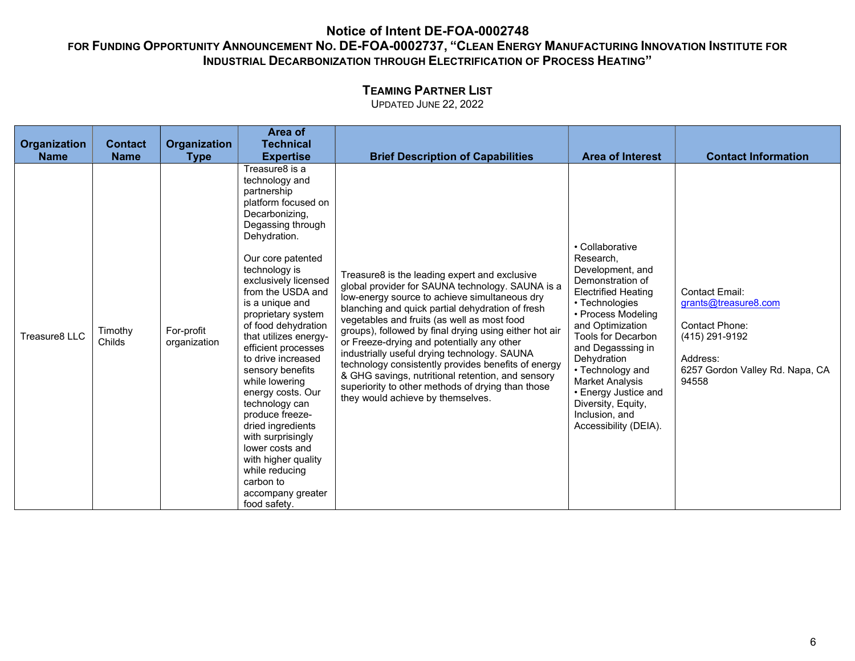# TEAMING PARTNER LIST

|               |                   |                            | Area of                                                                                                                                                                                                                                                                                                                                                                                                                                                                                                                                                                                                        |                                                                                                                                                                                                                                                                                                                                                                                                                                                                                                                                                                                                                     |                                                                                                                                                                                                                                                                                                                                                                        |                                                                                                                                           |
|---------------|-------------------|----------------------------|----------------------------------------------------------------------------------------------------------------------------------------------------------------------------------------------------------------------------------------------------------------------------------------------------------------------------------------------------------------------------------------------------------------------------------------------------------------------------------------------------------------------------------------------------------------------------------------------------------------|---------------------------------------------------------------------------------------------------------------------------------------------------------------------------------------------------------------------------------------------------------------------------------------------------------------------------------------------------------------------------------------------------------------------------------------------------------------------------------------------------------------------------------------------------------------------------------------------------------------------|------------------------------------------------------------------------------------------------------------------------------------------------------------------------------------------------------------------------------------------------------------------------------------------------------------------------------------------------------------------------|-------------------------------------------------------------------------------------------------------------------------------------------|
| Organization  | <b>Contact</b>    | Organization               | <b>Technical</b>                                                                                                                                                                                                                                                                                                                                                                                                                                                                                                                                                                                               |                                                                                                                                                                                                                                                                                                                                                                                                                                                                                                                                                                                                                     |                                                                                                                                                                                                                                                                                                                                                                        |                                                                                                                                           |
| <b>Name</b>   | <b>Name</b>       | <b>Type</b>                | <b>Expertise</b>                                                                                                                                                                                                                                                                                                                                                                                                                                                                                                                                                                                               | <b>Brief Description of Capabilities</b>                                                                                                                                                                                                                                                                                                                                                                                                                                                                                                                                                                            | <b>Area of Interest</b>                                                                                                                                                                                                                                                                                                                                                | <b>Contact Information</b>                                                                                                                |
| Treasure8 LLC | Timothy<br>Childs | For-profit<br>organization | Treasure8 is a<br>technology and<br>partnership<br>platform focused on<br>Decarbonizing,<br>Degassing through<br>Dehydration.<br>Our core patented<br>technology is<br>exclusively licensed<br>from the USDA and<br>is a unique and<br>proprietary system<br>of food dehydration<br>that utilizes energy-<br>efficient processes<br>to drive increased<br>sensory benefits<br>while lowering<br>energy costs. Our<br>technology can<br>produce freeze-<br>dried ingredients<br>with surprisingly<br>lower costs and<br>with higher quality<br>while reducing<br>carbon to<br>accompany greater<br>food safety. | Treasure8 is the leading expert and exclusive<br>global provider for SAUNA technology. SAUNA is a<br>low-energy source to achieve simultaneous dry<br>blanching and quick partial dehydration of fresh<br>vegetables and fruits (as well as most food<br>groups), followed by final drying using either hot air<br>or Freeze-drying and potentially any other<br>industrially useful drying technology. SAUNA<br>technology consistently provides benefits of energy<br>& GHG savings, nutritional retention, and sensory<br>superiority to other methods of drying than those<br>they would achieve by themselves. | • Collaborative<br>Research,<br>Development, and<br>Demonstration of<br><b>Electrified Heating</b><br>• Technologies<br>• Process Modeling<br>and Optimization<br><b>Tools for Decarbon</b><br>and Degasssing in<br>Dehydration<br>• Technology and<br><b>Market Analysis</b><br>• Energy Justice and<br>Diversity, Equity,<br>Inclusion, and<br>Accessibility (DEIA). | <b>Contact Email:</b><br>grants@treasure8.com<br>Contact Phone:<br>(415) 291-9192<br>Address:<br>6257 Gordon Valley Rd. Napa, CA<br>94558 |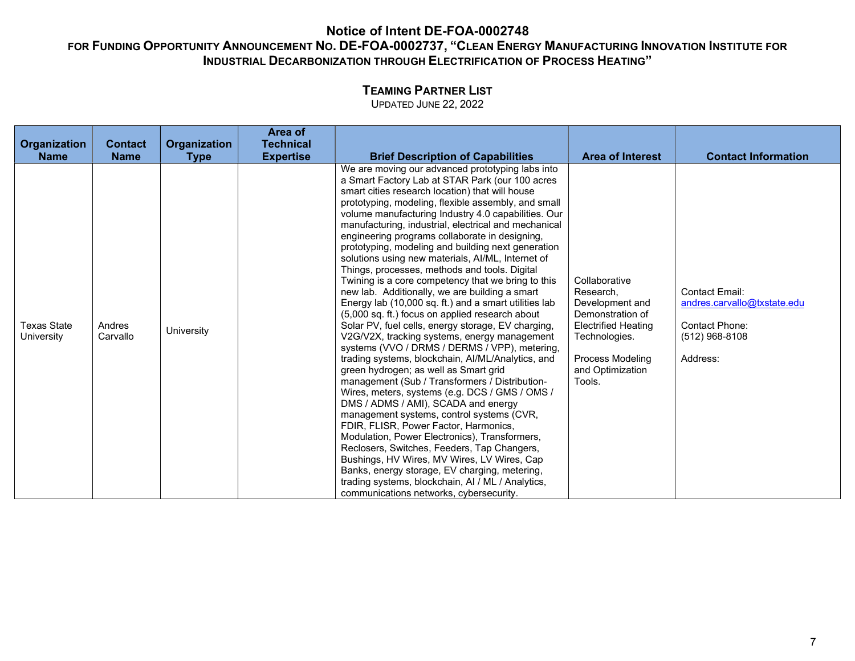# TEAMING PARTNER LIST

| Organization                     | <b>Contact</b>     | Organization | Area of<br><b>Technical</b> |                                                                                                                                                                                                                                                                                                                                                                                                                                                                                                                                                                                                                                                                                                                                                                                                                                                                                                                                                                                                                                                                                                                                                                                                                                                                                                                                                                                                                                                                                                                                                      |                                                                                                                                                                    |                                                                                                        |
|----------------------------------|--------------------|--------------|-----------------------------|------------------------------------------------------------------------------------------------------------------------------------------------------------------------------------------------------------------------------------------------------------------------------------------------------------------------------------------------------------------------------------------------------------------------------------------------------------------------------------------------------------------------------------------------------------------------------------------------------------------------------------------------------------------------------------------------------------------------------------------------------------------------------------------------------------------------------------------------------------------------------------------------------------------------------------------------------------------------------------------------------------------------------------------------------------------------------------------------------------------------------------------------------------------------------------------------------------------------------------------------------------------------------------------------------------------------------------------------------------------------------------------------------------------------------------------------------------------------------------------------------------------------------------------------------|--------------------------------------------------------------------------------------------------------------------------------------------------------------------|--------------------------------------------------------------------------------------------------------|
| <b>Name</b>                      | <b>Name</b>        | <b>Type</b>  | <b>Expertise</b>            | <b>Brief Description of Capabilities</b>                                                                                                                                                                                                                                                                                                                                                                                                                                                                                                                                                                                                                                                                                                                                                                                                                                                                                                                                                                                                                                                                                                                                                                                                                                                                                                                                                                                                                                                                                                             | <b>Area of Interest</b>                                                                                                                                            | <b>Contact Information</b>                                                                             |
| <b>Texas State</b><br>University | Andres<br>Carvallo | University   |                             | We are moving our advanced prototyping labs into<br>a Smart Factory Lab at STAR Park (our 100 acres<br>smart cities research location) that will house<br>prototyping, modeling, flexible assembly, and small<br>volume manufacturing Industry 4.0 capabilities. Our<br>manufacturing, industrial, electrical and mechanical<br>engineering programs collaborate in designing,<br>prototyping, modeling and building next generation<br>solutions using new materials, Al/ML, Internet of<br>Things, processes, methods and tools. Digital<br>Twining is a core competency that we bring to this<br>new lab. Additionally, we are building a smart<br>Energy lab (10,000 sq. ft.) and a smart utilities lab<br>(5,000 sq. ft.) focus on applied research about<br>Solar PV, fuel cells, energy storage, EV charging,<br>V2G/V2X, tracking systems, energy management<br>systems (VVO / DRMS / DERMS / VPP), metering,<br>trading systems, blockchain, Al/ML/Analytics, and<br>green hydrogen; as well as Smart grid<br>management (Sub / Transformers / Distribution-<br>Wires, meters, systems (e.g. DCS / GMS / OMS /<br>DMS / ADMS / AMI), SCADA and energy<br>management systems, control systems (CVR,<br>FDIR, FLISR, Power Factor, Harmonics,<br>Modulation, Power Electronics), Transformers,<br>Reclosers, Switches, Feeders, Tap Changers,<br>Bushings, HV Wires, MV Wires, LV Wires, Cap<br>Banks, energy storage, EV charging, metering,<br>trading systems, blockchain, AI / ML / Analytics,<br>communications networks, cybersecurity. | Collaborative<br>Research.<br>Development and<br>Demonstration of<br><b>Electrified Heating</b><br>Technologies.<br>Process Modeling<br>and Optimization<br>Tools. | <b>Contact Email:</b><br>andres.carvallo@txstate.edu<br>Contact Phone:<br>$(512)$ 968-8108<br>Address: |